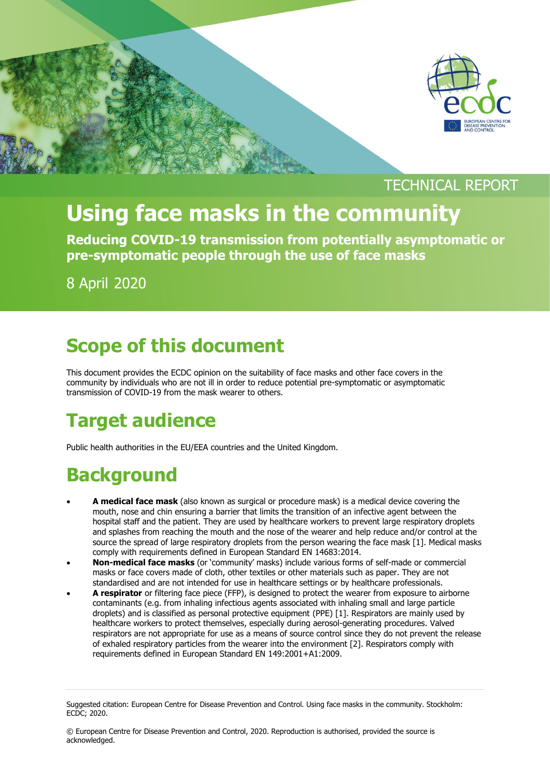

### TECHNICAL REPORT

# **Using face masks in the community**

**Reducing COVID-19 transmission from potentially asymptomatic or pre-symptomatic people through the use of face masks** 

8 April 2020

### **Scope of this document**

This document provides the ECDC opinion on the suitability of face masks and other face covers in the community by individuals who are not ill in order to reduce potential pre-symptomatic or asymptomatic transmission of COVID-19 from the mask wearer to others.

## **Target audience**

Public health authorities in the EU/EEA countries and the United Kingdom.

## **Background**

- **A medical face mask** (also known as surgical or procedure mask) is a medical device covering the mouth, nose and chin ensuring a barrier that limits the transition of an infective agent between the hospital staff and the patient. They are used by healthcare workers to prevent large respiratory droplets and splashes from reaching the mouth and the nose of the wearer and help reduce and/or control at the source the spread of large respiratory droplets from the person wearing the face mask [1]. Medical masks comply with requirements defined in European Standard EN 14683:2014.
- **Non-medical face masks** (or 'community' masks) include various forms of self-made or commercial masks or face covers made of cloth, other textiles or other materials such as paper. They are not standardised and are not intended for use in healthcare settings or by healthcare professionals.
- **A respirator** or filtering face piece (FFP), is designed to protect the wearer from exposure to airborne contaminants (e.g. from inhaling infectious agents associated with inhaling small and large particle droplets) and is classified as personal protective equipment (PPE) [1]. Respirators are mainly used by healthcare workers to protect themselves, especially during aerosol-generating procedures. Valved respirators are not appropriate for use as a means of source control since they do not prevent the release of exhaled respiratory particles from the wearer into the environment [2]. Respirators comply with requirements defined in European Standard EN 149:2001+A1:2009.

Suggested citation: European Centre for Disease Prevention and Control. Using face masks in the community. Stockholm: ECDC; 2020.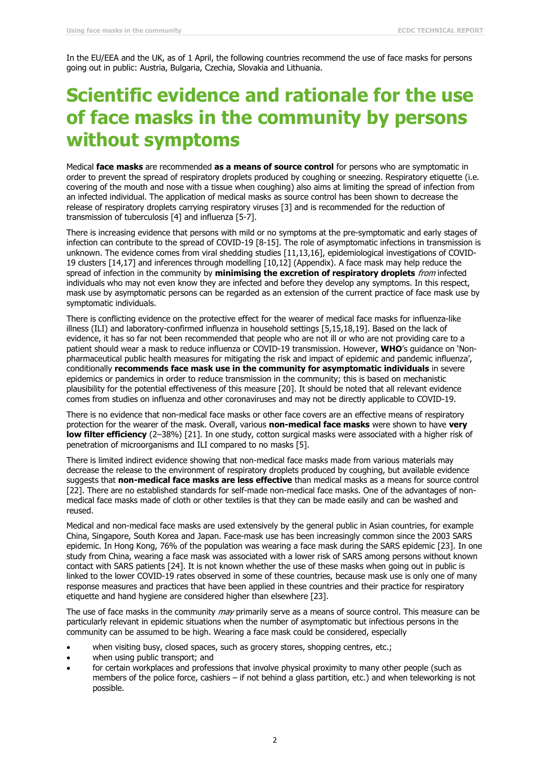In the EU/EEA and the UK, as of 1 April, the following countries recommend the use of face masks for persons going out in public: Austria, Bulgaria, Czechia, Slovakia and Lithuania.

### **Scientific evidence and rationale for the use of face masks in the community by persons without symptoms**

Medical **face masks** are recommended **as a means of source control** for persons who are symptomatic in order to prevent the spread of respiratory droplets produced by coughing or sneezing. Respiratory etiquette (i.e. covering of the mouth and nose with a tissue when coughing) also aims at limiting the spread of infection from an infected individual. The application of medical masks as source control has been shown to decrease the release of respiratory droplets carrying respiratory viruses [3] and is recommended for the reduction of transmission of tuberculosis [4] and influenza [5-7].

There is increasing evidence that persons with mild or no symptoms at the pre-symptomatic and early stages of infection can contribute to the spread of COVID-19 [8-15]. The role of asymptomatic infections in transmission is unknown. The evidence comes from viral shedding studies [11,13,16], epidemiological investigations of COVID-19 clusters [14,17] and inferences through modelling [10,12] (Appendix). A face mask may help reduce the spread of infection in the community by **minimising the excretion of respiratory droplets** from infected individuals who may not even know they are infected and before they develop any symptoms. In this respect, mask use by asymptomatic persons can be regarded as an extension of the current practice of face mask use by symptomatic individuals.

There is conflicting evidence on the protective effect for the wearer of medical face masks for influenza-like illness (ILI) and laboratory-confirmed influenza in household settings [5,15,18,19]. Based on the lack of evidence, it has so far not been recommended that people who are not ill or who are not providing care to a patient should wear a mask to reduce influenza or COVID-19 transmission. However, **WHO**'s guidance on 'Nonpharmaceutical public health measures for mitigating the risk and impact of epidemic and pandemic influenza', conditionally **recommends face mask use in the community for asymptomatic individuals** in severe epidemics or pandemics in order to reduce transmission in the community; this is based on mechanistic plausibility for the potential effectiveness of this measure [20]. It should be noted that all relevant evidence comes from studies on influenza and other coronaviruses and may not be directly applicable to COVID-19.

There is no evidence that non-medical face masks or other face covers are an effective means of respiratory protection for the wearer of the mask. Overall, various **non-medical face masks** were shown to have **very low filter efficiency** (2–38%) [21]. In one study, cotton surgical masks were associated with a higher risk of penetration of microorganisms and ILI compared to no masks [5].

There is limited indirect evidence showing that non-medical face masks made from various materials may decrease the release to the environment of respiratory droplets produced by coughing, but available evidence suggests that **non-medical face masks are less effective** than medical masks as a means for source control [22]. There are no established standards for self-made non-medical face masks. One of the advantages of nonmedical face masks made of cloth or other textiles is that they can be made easily and can be washed and reused.

Medical and non-medical face masks are used extensively by the general public in Asian countries, for example China, Singapore, South Korea and Japan. Face-mask use has been increasingly common since the 2003 SARS epidemic. In Hong Kong, 76% of the population was wearing a face mask during the SARS epidemic [23]. In one study from China, wearing a face mask was associated with a lower risk of SARS among persons without known contact with SARS patients [24]. It is not known whether the use of these masks when going out in public is linked to the lower COVID-19 rates observed in some of these countries, because mask use is only one of many response measures and practices that have been applied in these countries and their practice for respiratory etiquette and hand hygiene are considered higher than elsewhere [23].

The use of face masks in the community *may* primarily serve as a means of source control. This measure can be particularly relevant in epidemic situations when the number of asymptomatic but infectious persons in the community can be assumed to be high. Wearing a face mask could be considered, especially

- when visiting busy, closed spaces, such as grocery stores, shopping centres, etc.;
- when using public transport; and
- for certain workplaces and professions that involve physical proximity to many other people (such as members of the police force, cashiers – if not behind a glass partition, etc.) and when teleworking is not possible.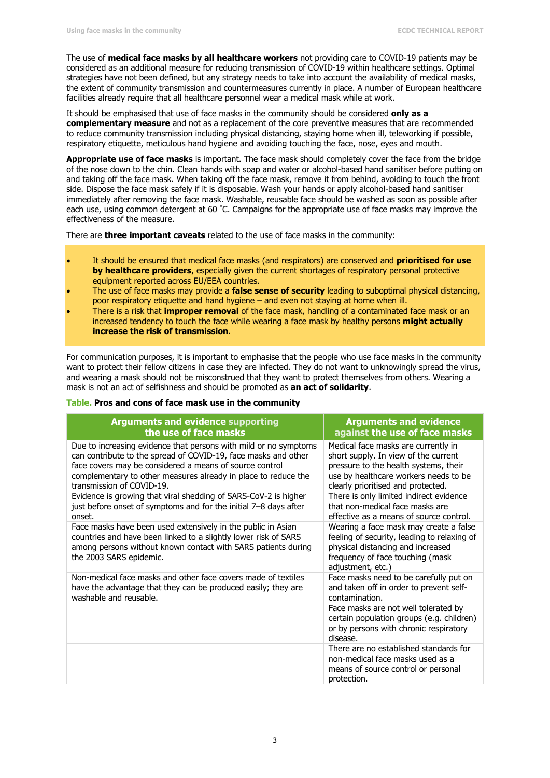The use of **medical face masks by all healthcare workers** not providing care to COVID-19 patients may be considered as an additional measure for reducing transmission of COVID-19 within healthcare settings. Optimal strategies have not been defined, but any strategy needs to take into account the availability of medical masks, the extent of community transmission and countermeasures currently in place. A number of European healthcare facilities already require that all healthcare personnel wear a medical mask while at work.

It should be emphasised that use of face masks in the community should be considered **only as a complementary measure** and not as a replacement of the core preventive measures that are recommended to reduce community transmission including physical distancing, staying home when ill, teleworking if possible, respiratory etiquette, meticulous hand hygiene and avoiding touching the face, nose, eyes and mouth.

**Appropriate use of face masks** is important. The face mask should completely cover the face from the bridge of the nose down to the chin. Clean hands with soap and water or alcohol-based hand sanitiser before putting on and taking off the face mask. When taking off the face mask, remove it from behind, avoiding to touch the front side. Dispose the face mask safely if it is disposable. Wash your hands or apply alcohol-based hand sanitiser immediately after removing the face mask. Washable, reusable face should be washed as soon as possible after each use, using common detergent at 60 °C. Campaigns for the appropriate use of face masks may improve the effectiveness of the measure.

There are **three important caveats** related to the use of face masks in the community:

- It should be ensured that medical face masks (and respirators) are conserved and **prioritised for use by healthcare providers**, especially given the current shortages of respiratory personal protective equipment reported across EU/EEA countries.
- The use of face masks may provide a **false sense of security** leading to suboptimal physical distancing, poor respiratory etiquette and hand hygiene – and even not staying at home when ill.
- There is a risk that **improper removal** of the face mask, handling of a contaminated face mask or an increased tendency to touch the face while wearing a face mask by healthy persons **might actually increase the risk of transmission**.

For communication purposes, it is important to emphasise that the people who use face masks in the community want to protect their fellow citizens in case they are infected. They do not want to unknowingly spread the virus, and wearing a mask should not be misconstrued that they want to protect themselves from others. Wearing a mask is not an act of selfishness and should be promoted as **an act of solidarity**.

#### **Table. Pros and cons of face mask use in the community**

| <b>Arguments and evidence supporting</b>                                                                                                                                                                                    | <b>Arguments and evidence</b>                                                                                                                                                       |
|-----------------------------------------------------------------------------------------------------------------------------------------------------------------------------------------------------------------------------|-------------------------------------------------------------------------------------------------------------------------------------------------------------------------------------|
| the use of face masks                                                                                                                                                                                                       | against the use of face masks                                                                                                                                                       |
| Due to increasing evidence that persons with mild or no symptoms                                                                                                                                                            | Medical face masks are currently in                                                                                                                                                 |
| can contribute to the spread of COVID-19, face masks and other                                                                                                                                                              | short supply. In view of the current                                                                                                                                                |
| face covers may be considered a means of source control                                                                                                                                                                     | pressure to the health systems, their                                                                                                                                               |
| complementary to other measures already in place to reduce the                                                                                                                                                              | use by healthcare workers needs to be                                                                                                                                               |
| transmission of COVID-19.                                                                                                                                                                                                   | clearly prioritised and protected.                                                                                                                                                  |
| Evidence is growing that viral shedding of SARS-CoV-2 is higher                                                                                                                                                             | There is only limited indirect evidence                                                                                                                                             |
| just before onset of symptoms and for the initial 7-8 days after                                                                                                                                                            | that non-medical face masks are                                                                                                                                                     |
| onset.                                                                                                                                                                                                                      | effective as a means of source control.                                                                                                                                             |
| Face masks have been used extensively in the public in Asian<br>countries and have been linked to a slightly lower risk of SARS<br>among persons without known contact with SARS patients during<br>the 2003 SARS epidemic. | Wearing a face mask may create a false<br>feeling of security, leading to relaxing of<br>physical distancing and increased<br>frequency of face touching (mask<br>adjustment, etc.) |
| Non-medical face masks and other face covers made of textiles                                                                                                                                                               | Face masks need to be carefully put on                                                                                                                                              |
| have the advantage that they can be produced easily; they are                                                                                                                                                               | and taken off in order to prevent self-                                                                                                                                             |
| washable and reusable.                                                                                                                                                                                                      | contamination.                                                                                                                                                                      |
|                                                                                                                                                                                                                             | Face masks are not well tolerated by<br>certain population groups (e.g. children)<br>or by persons with chronic respiratory<br>disease.                                             |
|                                                                                                                                                                                                                             | There are no established standards for<br>non-medical face masks used as a<br>means of source control or personal<br>protection.                                                    |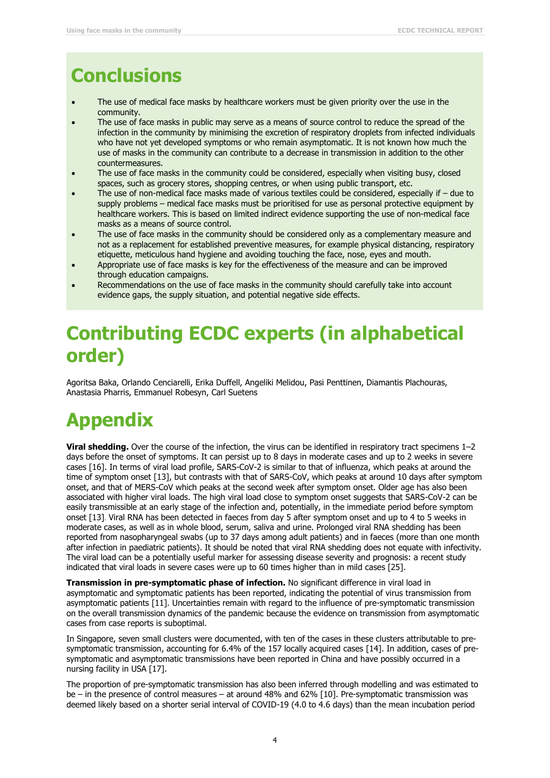## **Conclusions**

- The use of medical face masks by healthcare workers must be given priority over the use in the community.
- The use of face masks in public may serve as a means of source control to reduce the spread of the infection in the community by minimising the excretion of respiratory droplets from infected individuals who have not yet developed symptoms or who remain asymptomatic. It is not known how much the use of masks in the community can contribute to a decrease in transmission in addition to the other countermeasures.
- The use of face masks in the community could be considered, especially when visiting busy, closed spaces, such as grocery stores, shopping centres, or when using public transport, etc.
- The use of non-medical face masks made of various textiles could be considered, especially if due to supply problems – medical face masks must be prioritised for use as personal protective equipment by healthcare workers. This is based on limited indirect evidence supporting the use of non-medical face masks as a means of source control.
- The use of face masks in the community should be considered only as a complementary measure and not as a replacement for established preventive measures, for example physical distancing, respiratory etiquette, meticulous hand hygiene and avoiding touching the face, nose, eyes and mouth.
- Appropriate use of face masks is key for the effectiveness of the measure and can be improved through education campaigns.
- Recommendations on the use of face masks in the community should carefully take into account evidence gaps, the supply situation, and potential negative side effects.

### **Contributing ECDC experts (in alphabetical order)**

Agoritsa Baka, Orlando Cenciarelli, Erika Duffell, Angeliki Melidou, Pasi Penttinen, Diamantis Plachouras, Anastasia Pharris, Emmanuel Robesyn, Carl Suetens

# **Appendix**

**Viral shedding.** Over the course of the infection, the virus can be identified in respiratory tract specimens 1–2 days before the onset of symptoms. It can persist up to 8 days in moderate cases and up to 2 weeks in severe cases [16]. In terms of viral load profile, SARS-CoV-2 is similar to that of influenza, which peaks at around the time of symptom onset [13], but contrasts with that of SARS-CoV, which peaks at around 10 days after symptom onset, and that of MERS-CoV which peaks at the second week after symptom onset. Older age has also been associated with higher viral loads. The high viral load close to symptom onset suggests that SARS-CoV-2 can be easily transmissible at an early stage of the infection and, potentially, in the immediate period before symptom onset [13]. Viral RNA has been detected in faeces from day 5 after symptom onset and up to 4 to 5 weeks in moderate cases, as well as in whole blood, serum, saliva and urine. Prolonged viral RNA shedding has been reported from nasopharyngeal swabs (up to 37 days among adult patients) and in faeces (more than one month after infection in paediatric patients). It should be noted that viral RNA shedding does not equate with infectivity. The viral load can be a potentially useful marker for assessing disease severity and prognosis: a recent study indicated that viral loads in severe cases were up to 60 times higher than in mild cases [25].

**Transmission in pre-symptomatic phase of infection.** No significant difference in viral load in asymptomatic and symptomatic patients has been reported, indicating the potential of virus transmission from asymptomatic patients [11]. Uncertainties remain with regard to the influence of pre-symptomatic transmission on the overall transmission dynamics of the pandemic because the evidence on transmission from asymptomatic cases from case reports is suboptimal.

In Singapore, seven small clusters were documented, with ten of the cases in these clusters attributable to presymptomatic transmission, accounting for 6.4% of the 157 locally acquired cases [14]. In addition, cases of presymptomatic and asymptomatic transmissions have been reported in China and have possibly occurred in a nursing facility in USA [17].

The proportion of pre-symptomatic transmission has also been inferred through modelling and was estimated to be – in the presence of control measures – at around 48% and 62% [10]. Pre-symptomatic transmission was deemed likely based on a shorter serial interval of COVID-19 (4.0 to 4.6 days) than the mean incubation period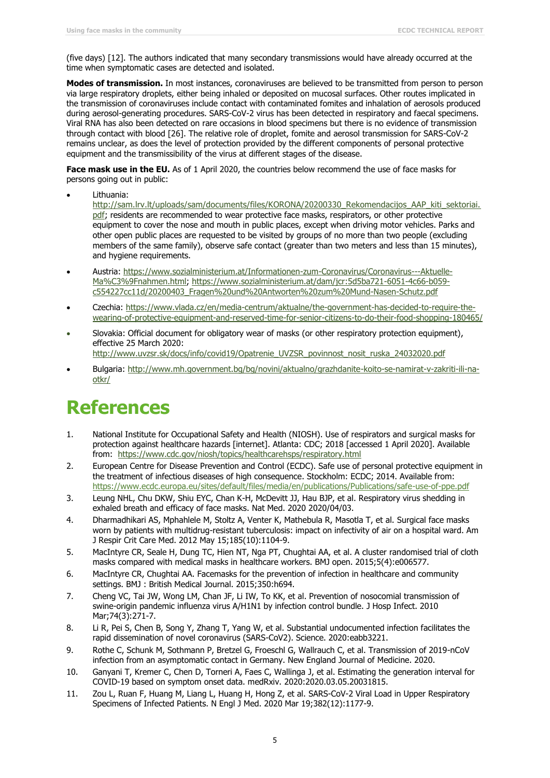(five days) [12]. The authors indicated that many secondary transmissions would have already occurred at the time when symptomatic cases are detected and isolated.

**Modes of transmission.** In most instances, coronaviruses are believed to be transmitted from person to person via large respiratory droplets, either being inhaled or deposited on mucosal surfaces. Other routes implicated in the transmission of coronaviruses include contact with contaminated fomites and inhalation of aerosols produced during aerosol-generating procedures. SARS-CoV-2 virus has been detected in respiratory and faecal specimens. Viral RNA has also been detected on rare occasions in blood specimens but there is no evidence of transmission through contact with blood [26]. The relative role of droplet, fomite and aerosol transmission for SARS-CoV-2 remains unclear, as does the level of protection provided by the different components of personal protective equipment and the transmissibility of the virus at different stages of the disease.

**Face mask use in the EU.** As of 1 April 2020, the countries below recommend the use of face masks for persons going out in public:

Lithuania:

[http://sam.lrv.lt/uploads/sam/documents/files/KORONA/20200330\\_Rekomendacijos\\_AAP\\_kiti\\_sektoriai.](http://sam.lrv.lt/uploads/sam/documents/files/KORONA/20200330_Rekomendacijos_AAP_kiti_sektoriai.pdf) [pdf;](http://sam.lrv.lt/uploads/sam/documents/files/KORONA/20200330_Rekomendacijos_AAP_kiti_sektoriai.pdf) residents are recommended to wear protective face masks, respirators, or other protective equipment to cover the nose and mouth in public places, except when driving motor vehicles. Parks and other open public places are requested to be visited by groups of no more than two people (excluding members of the same family), observe safe contact (greater than two meters and less than 15 minutes), and hygiene requirements.

- Austria: [https://www.sozialministerium.at/Informationen-zum-Coronavirus/Coronavirus---Aktuelle-](https://www.sozialministerium.at/Informationen-zum-Coronavirus/Coronavirus---Aktuelle-Ma%C3%9Fnahmen.html)[Ma%C3%9Fnahmen.html;](https://www.sozialministerium.at/Informationen-zum-Coronavirus/Coronavirus---Aktuelle-Ma%C3%9Fnahmen.html) [https://www.sozialministerium.at/dam/jcr:5d5ba721-6051-4c66-b059](https://www.sozialministerium.at/dam/jcr:5d5ba721-6051-4c66-b059-c554227cc11d/20200403_Fragen%20und%20Antworten%20zum%20Mund-Nasen-Schutz.pdf) [c554227cc11d/20200403\\_Fragen%20und%20Antworten%20zum%20Mund-Nasen-Schutz.pdf](https://www.sozialministerium.at/dam/jcr:5d5ba721-6051-4c66-b059-c554227cc11d/20200403_Fragen%20und%20Antworten%20zum%20Mund-Nasen-Schutz.pdf)
- Czechia: [https://www.vlada.cz/en/media-centrum/aktualne/the-government-has-decided-to-require-the](https://www.vlada.cz/en/media-centrum/aktualne/the-government-has-decided-to-require-the-wearing-of-protective-equipment-and-reserved-time-for-senior-citizens-to-do-their-food-shopping-180465/)[wearing-of-protective-equipment-and-reserved-time-for-senior-citizens-to-do-their-food-shopping-180465/](https://www.vlada.cz/en/media-centrum/aktualne/the-government-has-decided-to-require-the-wearing-of-protective-equipment-and-reserved-time-for-senior-citizens-to-do-their-food-shopping-180465/)
- Slovakia: Official document for obligatory wear of masks (or other respiratory protection equipment), effective 25 March 2020:

[http://www.uvzsr.sk/docs/info/covid19/Opatrenie\\_UVZSR\\_povinnost\\_nosit\\_ruska\\_24032020.pdf](http://www.uvzsr.sk/docs/info/covid19/Opatrenie_UVZSR_povinnost_nosit_ruska_24032020.pdf)

 Bulgaria: [http://www.mh.government.bg/bg/novini/aktualno/grazhdanite-koito-se-namirat-v-zakriti-ili-na](http://www.mh.government.bg/bg/novini/aktualno/grazhdanite-koito-se-namirat-v-zakriti-ili-na-otkr/)[otkr/](http://www.mh.government.bg/bg/novini/aktualno/grazhdanite-koito-se-namirat-v-zakriti-ili-na-otkr/)

### **References**

- 1. National Institute for Occupational Safety and Health (NIOSH). Use of respirators and surgical masks for protection against healthcare hazards [internet]. Atlanta: CDC; 2018 [accessed 1 April 2020]. Available from: <https://www.cdc.gov/niosh/topics/healthcarehsps/respiratory.html>
- 2. European Centre for Disease Prevention and Control (ECDC). Safe use of personal protective equipment in the treatment of infectious diseases of high consequence. Stockholm: ECDC; 2014. Available from: <https://www.ecdc.europa.eu/sites/default/files/media/en/publications/Publications/safe-use-of-ppe.pdf>
- 3. Leung NHL, Chu DKW, Shiu EYC, Chan K-H, McDevitt JJ, Hau BJP, et al. Respiratory virus shedding in exhaled breath and efficacy of face masks. Nat Med. 2020 2020/04/03.
- 4. Dharmadhikari AS, Mphahlele M, Stoltz A, Venter K, Mathebula R, Masotla T, et al. Surgical face masks worn by patients with multidrug-resistant tuberculosis: impact on infectivity of air on a hospital ward. Am J Respir Crit Care Med. 2012 May 15;185(10):1104-9.
- 5. MacIntyre CR, Seale H, Dung TC, Hien NT, Nga PT, Chughtai AA, et al. A cluster randomised trial of cloth masks compared with medical masks in healthcare workers. BMJ open. 2015;5(4):e006577.
- 6. MacIntyre CR, Chughtai AA. Facemasks for the prevention of infection in healthcare and community settings. BMJ : British Medical Journal. 2015;350:h694.
- 7. Cheng VC, Tai JW, Wong LM, Chan JF, Li IW, To KK, et al. Prevention of nosocomial transmission of swine-origin pandemic influenza virus A/H1N1 by infection control bundle. J Hosp Infect. 2010 Mar;74(3):271-7.
- 8. Li R, Pei S, Chen B, Song Y, Zhang T, Yang W, et al. Substantial undocumented infection facilitates the rapid dissemination of novel coronavirus (SARS-CoV2). Science. 2020:eabb3221.
- 9. Rothe C, Schunk M, Sothmann P, Bretzel G, Froeschl G, Wallrauch C, et al. Transmission of 2019-nCoV infection from an asymptomatic contact in Germany. New England Journal of Medicine. 2020.
- 10. Ganyani T, Kremer C, Chen D, Torneri A, Faes C, Wallinga J, et al. Estimating the generation interval for COVID-19 based on symptom onset data. medRxiv. 2020:2020.03.05.20031815.
- 11. Zou L, Ruan F, Huang M, Liang L, Huang H, Hong Z, et al. SARS-CoV-2 Viral Load in Upper Respiratory Specimens of Infected Patients. N Engl J Med. 2020 Mar 19;382(12):1177-9.